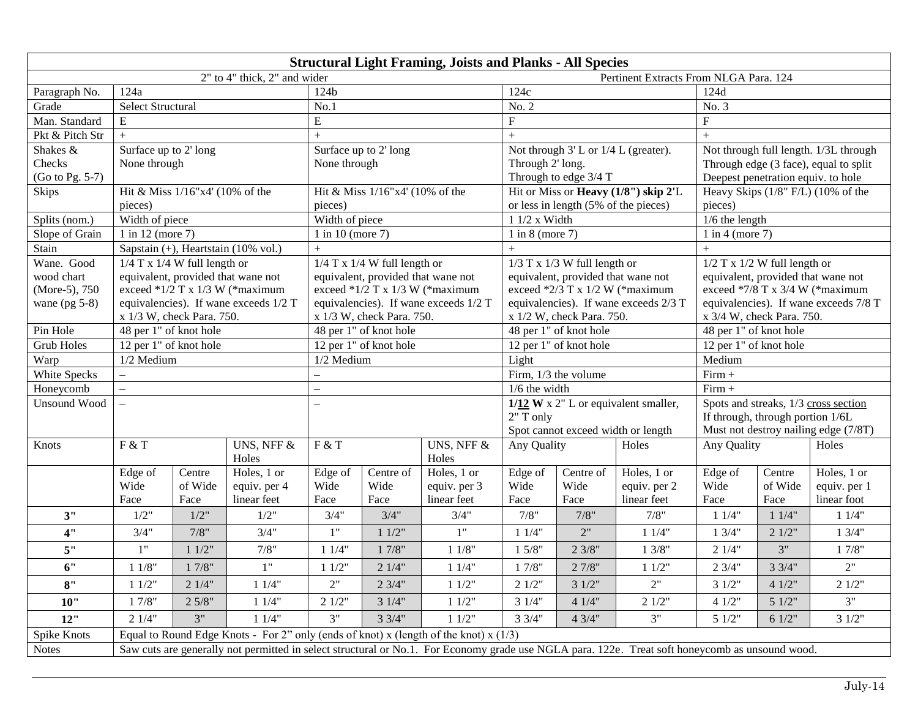| <b>Structural Light Framing, Joists and Planks - All Species</b> |                                                                                                                                                 |                                                  |                                                                         |                                                                            |                                    |              |                                                                          |                                      |                      |                                                                       |         |                                         |  |
|------------------------------------------------------------------|-------------------------------------------------------------------------------------------------------------------------------------------------|--------------------------------------------------|-------------------------------------------------------------------------|----------------------------------------------------------------------------|------------------------------------|--------------|--------------------------------------------------------------------------|--------------------------------------|----------------------|-----------------------------------------------------------------------|---------|-----------------------------------------|--|
|                                                                  | 2" to 4" thick, 2" and wider<br>Pertinent Extracts From NLGA Para. 124                                                                          |                                                  |                                                                         |                                                                            |                                    |              |                                                                          |                                      |                      |                                                                       |         |                                         |  |
| Paragraph No.                                                    | 124a                                                                                                                                            |                                                  |                                                                         | 124b                                                                       |                                    |              | 124c                                                                     |                                      |                      | 124d                                                                  |         |                                         |  |
| Grade                                                            | <b>Select Structural</b>                                                                                                                        |                                                  |                                                                         | No.1                                                                       |                                    |              | No. 2                                                                    |                                      |                      | No. 3                                                                 |         |                                         |  |
| Man. Standard                                                    | E                                                                                                                                               |                                                  |                                                                         | E                                                                          |                                    |              |                                                                          |                                      |                      | $\mathbf F$                                                           |         |                                         |  |
| Pkt & Pitch Str                                                  | $+$                                                                                                                                             |                                                  |                                                                         | $+$                                                                        |                                    |              | $+$                                                                      |                                      |                      |                                                                       | $+$     |                                         |  |
| Shakes &                                                         | Surface up to 2' long                                                                                                                           |                                                  |                                                                         | Surface up to 2' long                                                      |                                    |              | Not through $3'$ L or $1/4$ L (greater).                                 |                                      |                      | Not through full length. 1/3L through                                 |         |                                         |  |
| Checks                                                           | None through                                                                                                                                    |                                                  |                                                                         | None through                                                               |                                    |              | Through 2' long.                                                         |                                      |                      | Through edge (3 face), equal to split                                 |         |                                         |  |
| (Go to Pg. 5-7)                                                  |                                                                                                                                                 |                                                  |                                                                         |                                                                            |                                    |              | Through to edge 3/4 T                                                    |                                      |                      |                                                                       |         | Deepest penetration equiv. to hole      |  |
| Skips                                                            | Hit & Miss 1/16"x4' (10% of the                                                                                                                 |                                                  |                                                                         | Hit & Miss 1/16"x4' (10% of the                                            |                                    |              | Hit or Miss or Heavy (1/8") skip 2'L                                     |                                      |                      |                                                                       |         | Heavy Skips $(1/8"$ F/L) $(10\%$ of the |  |
|                                                                  | pieces)                                                                                                                                         |                                                  |                                                                         | pieces)                                                                    |                                    |              | or less in length (5% of the pieces)                                     |                                      |                      | pieces)                                                               |         |                                         |  |
| Splits (nom.)                                                    | Width of piece                                                                                                                                  |                                                  |                                                                         | Width of piece                                                             |                                    |              | $11/2 x$ Width                                                           |                                      |                      | $1/6$ the length                                                      |         |                                         |  |
| Slope of Grain                                                   | 1 in 12 (more 7)<br>Sapstain (+), Heartstain (10% vol.)                                                                                         |                                                  |                                                                         | 1 in 10 (more $7$ )                                                        |                                    |              | $1$ in $8$ (more $7$ )                                                   |                                      |                      | $1$ in $4$ (more 7)                                                   |         |                                         |  |
| Stain                                                            |                                                                                                                                                 |                                                  |                                                                         | $+$                                                                        |                                    |              | $+$                                                                      |                                      |                      | $+$                                                                   |         |                                         |  |
| Wane. Good                                                       | $1/4$ T x $1/4$ W full length or                                                                                                                |                                                  |                                                                         | $1/4$ T x $1/4$ W full length or                                           |                                    |              | $1/3$ T x $1/3$ W full length or                                         |                                      |                      | $1/2$ T x $1/2$ W full length or                                      |         |                                         |  |
| wood chart<br>(More-5), 750                                      |                                                                                                                                                 |                                                  | equivalent, provided that wane not<br>exceed $*1/2$ T x 1/3 W (*maximum | equivalent, provided that wane not                                         |                                    |              | equivalent, provided that wane not                                       |                                      |                      | equivalent, provided that wane not<br>exceed *7/8 T x 3/4 W (*maximum |         |                                         |  |
| wane $(pg 5-8)$                                                  |                                                                                                                                                 |                                                  | equivalencies). If wane exceeds 1/2 T                                   | exceed $*1/2$ T x 1/3 W (*maximum<br>equivalencies). If wane exceeds 1/2 T |                                    |              | exceed *2/3 T x 1/2 W (*maximum<br>equivalencies). If wane exceeds 2/3 T |                                      |                      | equivalencies). If wane exceeds 7/8 T                                 |         |                                         |  |
|                                                                  | x 1/3 W, check Para. 750.                                                                                                                       |                                                  |                                                                         | x 1/3 W, check Para. 750.                                                  |                                    |              | x 1/2 W, check Para. 750.                                                |                                      |                      | x 3/4 W, check Para. 750.                                             |         |                                         |  |
| Pin Hole                                                         |                                                                                                                                                 | 48 per 1" of knot hole<br>48 per 1" of knot hole |                                                                         |                                                                            |                                    |              |                                                                          | 48 per 1" of knot hole               |                      | 48 per 1" of knot hole                                                |         |                                         |  |
| <b>Grub Holes</b>                                                | 12 per 1" of knot hole                                                                                                                          |                                                  |                                                                         | 12 per 1" of knot hole                                                     |                                    |              | 12 per 1" of knot hole                                                   |                                      |                      | 12 per 1" of knot hole                                                |         |                                         |  |
| Warp                                                             | 1/2 Medium                                                                                                                                      |                                                  |                                                                         | 1/2 Medium                                                                 |                                    |              | Light                                                                    |                                      |                      | Medium                                                                |         |                                         |  |
| White Specks                                                     | $\qquad \qquad -$                                                                                                                               |                                                  |                                                                         | $\overline{\phantom{0}}$                                                   |                                    |              | Firm, 1/3 the volume                                                     |                                      |                      | $Firm +$                                                              |         |                                         |  |
| Honeycomb                                                        | $\overline{\phantom{0}}$                                                                                                                        |                                                  |                                                                         | $\overline{\phantom{0}}$                                                   |                                    |              | $1/6$ the width                                                          |                                      |                      | $Firm +$                                                              |         |                                         |  |
| <b>Unsound Wood</b>                                              | $\equiv$                                                                                                                                        |                                                  |                                                                         | $\overline{\phantom{0}}$                                                   |                                    |              | $1/12$ W x 2" L or equivalent smaller,                                   |                                      |                      | Spots and streaks, 1/3 cross section                                  |         |                                         |  |
|                                                                  |                                                                                                                                                 |                                                  |                                                                         |                                                                            |                                    |              | 2" T only                                                                |                                      |                      | If through, through portion 1/6L                                      |         |                                         |  |
|                                                                  |                                                                                                                                                 |                                                  |                                                                         |                                                                            | Spot cannot exceed width or length |              |                                                                          | Must not destroy nailing edge (7/8T) |                      |                                                                       |         |                                         |  |
| Knots                                                            | F & T                                                                                                                                           |                                                  | UNS, NFF &                                                              | F & T                                                                      |                                    | UNS, NFF $&$ | Holes<br>Any Quality                                                     |                                      | Any Quality<br>Holes |                                                                       |         |                                         |  |
|                                                                  |                                                                                                                                                 |                                                  | Holes                                                                   |                                                                            |                                    | Holes        |                                                                          |                                      |                      |                                                                       |         |                                         |  |
|                                                                  | Edge of                                                                                                                                         | Centre                                           | Holes, 1 or                                                             | Edge of                                                                    | Centre of                          | Holes, 1 or  | Edge of                                                                  | Centre of                            | Holes, 1 or          | Edge of                                                               | Centre  | Holes, 1 or                             |  |
|                                                                  | Wide                                                                                                                                            | of Wide                                          | equiv. per 4                                                            | Wide                                                                       | Wide                               | equiv. per 3 | Wide                                                                     | Wide                                 | equiv. per 2         | Wide                                                                  | of Wide | equiv. per 1                            |  |
|                                                                  | Face                                                                                                                                            | Face                                             | linear feet                                                             | Face                                                                       | Face                               | linear feet  | Face                                                                     | Face                                 | linear feet          | Face                                                                  | Face    | linear foot                             |  |
| 3"                                                               | 1/2"                                                                                                                                            | $1/2$ "                                          | 1/2"                                                                    | 3/4"                                                                       | 3/4"                               | 3/4"         | 7/8"                                                                     | 7/8"                                 | 7/8"                 | 11/4"                                                                 | 11/4"   | 11/4"                                   |  |
| 4"                                                               | 3/4"                                                                                                                                            | 7/8"                                             | 3/4"                                                                    | 1"                                                                         | 11/2"                              | 1"           | 11/4"                                                                    | 2"                                   | 11/4"                | 13/4"                                                                 | 21/2"   | 13/4"                                   |  |
| 5"                                                               | 1"                                                                                                                                              | 11/2"                                            | 7/8"                                                                    | 11/4"                                                                      | 17/8"                              | 11/8"        | 15/8"                                                                    | 23/8"                                | 13/8"                | 21/4"                                                                 | 3"      | 17/8"                                   |  |
| 6"                                                               | 11/8"                                                                                                                                           | 17/8"                                            | 1"                                                                      | 11/2"                                                                      | 21/4"                              | 11/4"        | 17/8"                                                                    | 27/8"                                | 11/2"                | 23/4"                                                                 | 33/4"   | $2"$                                    |  |
| 8"                                                               | 11/2"                                                                                                                                           | 21/4"                                            | 11/4"                                                                   | 2"                                                                         | 23/4"                              | 11/2"        | 21/2"                                                                    | 31/2"                                | 2"                   | 31/2"                                                                 | 41/2"   | 21/2"                                   |  |
| 10"                                                              | 17/8"                                                                                                                                           | 25/8"                                            | 11/4"                                                                   | 21/2"                                                                      | 31/4"                              | 11/2"        | 31/4"                                                                    | 41/4"                                | 21/2"                | 41/2"                                                                 | 51/2"   | 3"                                      |  |
| 12"                                                              | 21/4"                                                                                                                                           | 3"                                               | 11/4"                                                                   | 3"                                                                         | $3 \frac{3}{4}$ "                  | 11/2"        | 33/4"<br>43/4"<br>3"<br>51/2"<br>61/2"                                   |                                      |                      |                                                                       |         | 31/2"                                   |  |
| Spike Knots                                                      | Equal to Round Edge Knots - For 2" only (ends of knot) x (length of the knot) x $(1/3)$                                                         |                                                  |                                                                         |                                                                            |                                    |              |                                                                          |                                      |                      |                                                                       |         |                                         |  |
| Notes                                                            | Saw cuts are generally not permitted in select structural or No.1. For Economy grade use NGLA para. 122e. Treat soft honeycomb as unsound wood. |                                                  |                                                                         |                                                                            |                                    |              |                                                                          |                                      |                      |                                                                       |         |                                         |  |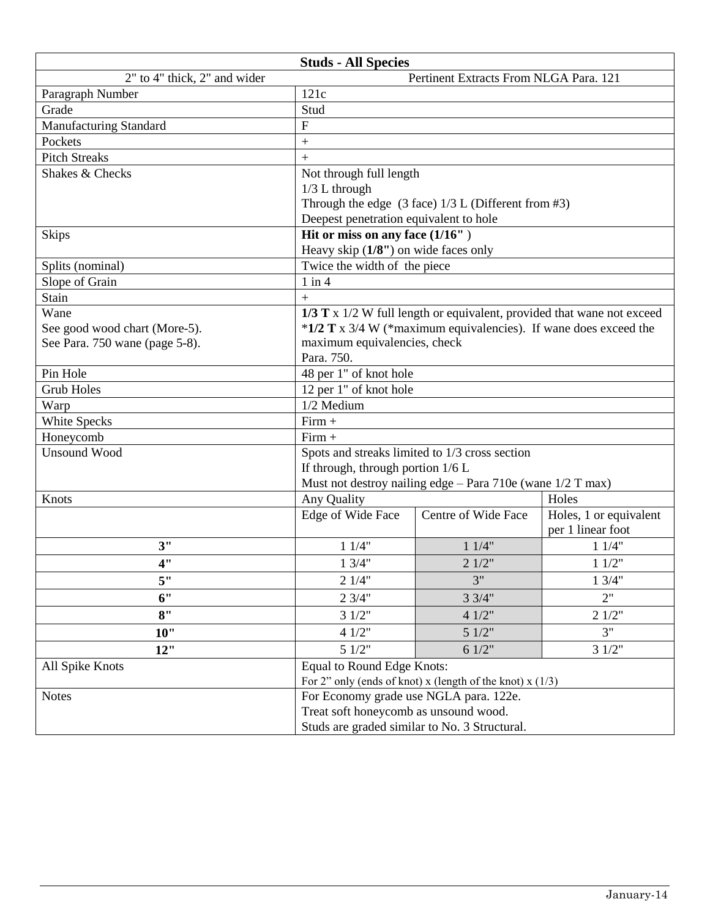| <b>Studs - All Species</b>                                             |                                                                                                   |                                                                        |                                             |  |  |  |  |  |
|------------------------------------------------------------------------|---------------------------------------------------------------------------------------------------|------------------------------------------------------------------------|---------------------------------------------|--|--|--|--|--|
| 2" to 4" thick, 2" and wider<br>Pertinent Extracts From NLGA Para. 121 |                                                                                                   |                                                                        |                                             |  |  |  |  |  |
| Paragraph Number                                                       | 121c                                                                                              |                                                                        |                                             |  |  |  |  |  |
| Grade                                                                  | Stud                                                                                              |                                                                        |                                             |  |  |  |  |  |
| Manufacturing Standard                                                 | $\overline{F}$                                                                                    |                                                                        |                                             |  |  |  |  |  |
| Pockets                                                                | $\qquad \qquad +$                                                                                 |                                                                        |                                             |  |  |  |  |  |
| <b>Pitch Streaks</b>                                                   | $+$                                                                                               |                                                                        |                                             |  |  |  |  |  |
| Shakes & Checks                                                        | Not through full length                                                                           |                                                                        |                                             |  |  |  |  |  |
|                                                                        | $1/3$ L through                                                                                   |                                                                        |                                             |  |  |  |  |  |
|                                                                        | Through the edge $(3 \text{ face})$ 1/3 L (Different from #3)                                     |                                                                        |                                             |  |  |  |  |  |
|                                                                        | Deepest penetration equivalent to hole                                                            |                                                                        |                                             |  |  |  |  |  |
| <b>Skips</b>                                                           | Hit or miss on any face (1/16")                                                                   |                                                                        |                                             |  |  |  |  |  |
|                                                                        | Heavy skip $(1/8")$ on wide faces only                                                            |                                                                        |                                             |  |  |  |  |  |
| Splits (nominal)                                                       | Twice the width of the piece                                                                      |                                                                        |                                             |  |  |  |  |  |
| Slope of Grain                                                         | $1$ in $4$                                                                                        |                                                                        |                                             |  |  |  |  |  |
| Stain                                                                  | $+$                                                                                               |                                                                        |                                             |  |  |  |  |  |
| Wane                                                                   |                                                                                                   | 1/3 T x 1/2 W full length or equivalent, provided that wane not exceed |                                             |  |  |  |  |  |
| See good wood chart (More-5).                                          | *1/2 T x 3/4 W (*maximum equivalencies). If wane does exceed the                                  |                                                                        |                                             |  |  |  |  |  |
| See Para. 750 wane (page 5-8).                                         | maximum equivalencies, check                                                                      |                                                                        |                                             |  |  |  |  |  |
|                                                                        | Para. 750.                                                                                        |                                                                        |                                             |  |  |  |  |  |
| Pin Hole                                                               | 48 per 1" of knot hole                                                                            |                                                                        |                                             |  |  |  |  |  |
| <b>Grub Holes</b>                                                      | 12 per 1" of knot hole                                                                            |                                                                        |                                             |  |  |  |  |  |
| Warp                                                                   | 1/2 Medium                                                                                        |                                                                        |                                             |  |  |  |  |  |
| White Specks                                                           | $Firm +$                                                                                          |                                                                        |                                             |  |  |  |  |  |
| Honeycomb                                                              | $Firm +$                                                                                          |                                                                        |                                             |  |  |  |  |  |
| <b>Unsound Wood</b>                                                    | Spots and streaks limited to 1/3 cross section                                                    |                                                                        |                                             |  |  |  |  |  |
|                                                                        | If through, through portion $1/6$ L<br>Must not destroy nailing edge - Para 710e (wane 1/2 T max) |                                                                        |                                             |  |  |  |  |  |
|                                                                        |                                                                                                   |                                                                        |                                             |  |  |  |  |  |
| Knots                                                                  | Any Quality                                                                                       |                                                                        | Holes                                       |  |  |  |  |  |
|                                                                        | Edge of Wide Face                                                                                 | Centre of Wide Face                                                    | Holes, 1 or equivalent<br>per 1 linear foot |  |  |  |  |  |
| 3"                                                                     | 11/4"                                                                                             | 11/4"                                                                  | 11/4"                                       |  |  |  |  |  |
| 4"                                                                     | 13/4"                                                                                             | 21/2"                                                                  | 11/2"                                       |  |  |  |  |  |
| 5"                                                                     | 21/4"                                                                                             | 3"                                                                     | 13/4"                                       |  |  |  |  |  |
| 6"                                                                     | 23/4"                                                                                             | 33/4"                                                                  |                                             |  |  |  |  |  |
| 8"                                                                     | 31/2"                                                                                             | 41/2"                                                                  | 21/2"                                       |  |  |  |  |  |
| 10"                                                                    | 41/2"                                                                                             | 3"                                                                     |                                             |  |  |  |  |  |
| 12"                                                                    | 51/2"<br>51/2"<br>61/2"<br>31/2"                                                                  |                                                                        |                                             |  |  |  |  |  |
| All Spike Knots                                                        | Equal to Round Edge Knots:                                                                        |                                                                        |                                             |  |  |  |  |  |
|                                                                        | For 2" only (ends of knot) x (length of the knot) x $(1/3)$                                       |                                                                        |                                             |  |  |  |  |  |
| <b>Notes</b>                                                           | For Economy grade use NGLA para. 122e.                                                            |                                                                        |                                             |  |  |  |  |  |
|                                                                        | Treat soft honeycomb as unsound wood.                                                             |                                                                        |                                             |  |  |  |  |  |
|                                                                        | Studs are graded similar to No. 3 Structural.                                                     |                                                                        |                                             |  |  |  |  |  |